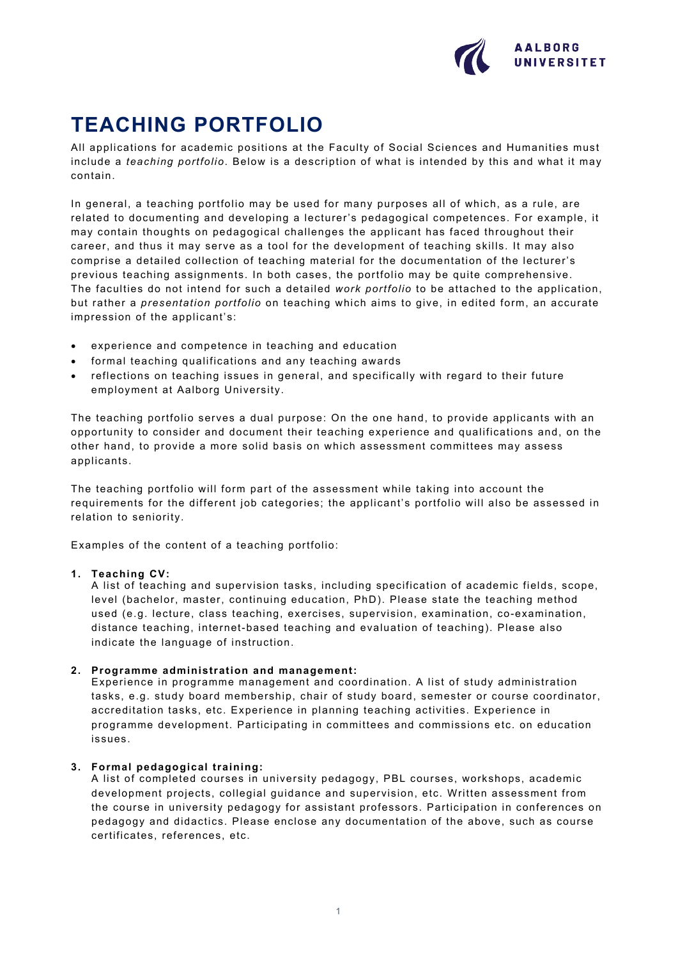

# **TEACHING PORTFOLIO**

All applications for academic positions at the Faculty of Social Sciences and Humanities must include a *teaching portfolio*. Below is a description of what is intended by this and what it may contain.

In general, a teaching portfolio may be used for many purposes all of which, as a rule, are related to documenting and developing a lecturer's pedagogical competences. For example, it may contain thoughts on pedagogical challenges the applicant has faced throughout their career, and thus it may serve as a tool for the development of teaching skills. It may also comprise a detailed collection of teaching material for the documentation of the lecturer's previous teaching assignments. In both cases, the portfolio may be quite comprehensive. The faculties do not intend for such a detailed *work portfolio* to be attached to the application, but rather a *presentation portfolio* on teaching which aims to give, in edited form, an accurate impression of the applicant's:

- experience and competence in teaching and education
- formal teaching qualifications and any teaching awards
- reflections on teaching issues in general, and specifically with regard to their future employment at Aalborg University.

The teaching portfolio serves a dual purpose: On the one hand, to provide applicants with an opportunity to consider and document their teaching experience and qualifications and, on the other hand, to provide a more solid basis on which assessment committees may assess applicants.

The teaching portfolio will form part of the assessment while taking into account the requirements for the different job categories; the applicant's portfolio will also be assessed in relation to seniority.

Examples of the content of a teaching portfolio:

#### **1. Teaching CV:**

A list of teaching and supervision tasks, including specification of academic fields, scope, level (bachelor, master, continuing education, PhD). Please state the teaching method used (e.g. lecture, class teaching, exercises, supervision, examination, co-examination, distance teaching, internet-based teaching and evaluation of teaching). Please also indicate the language of instruction.

# **2. Programme administration and management:**

Experience in programme management and coordination. A list of study administration tasks, e.g. study board membership, chair of study board, semester or course coordinator, accreditation tasks, etc. Experience in planning teaching activities. Experience in programme development. Participating in committees and commissions etc. on education issues.

# **3. Formal pedagogical training:**

A list of completed courses in university pedagogy, PBL courses, workshops, academic development projects, collegial guidance and supervision, etc. Written assessment from the course in university pedagogy for assistant professors. Participation in conferences on pedagogy and didactics. Please enclose any documentation of the above, such as course certificates, references, etc.